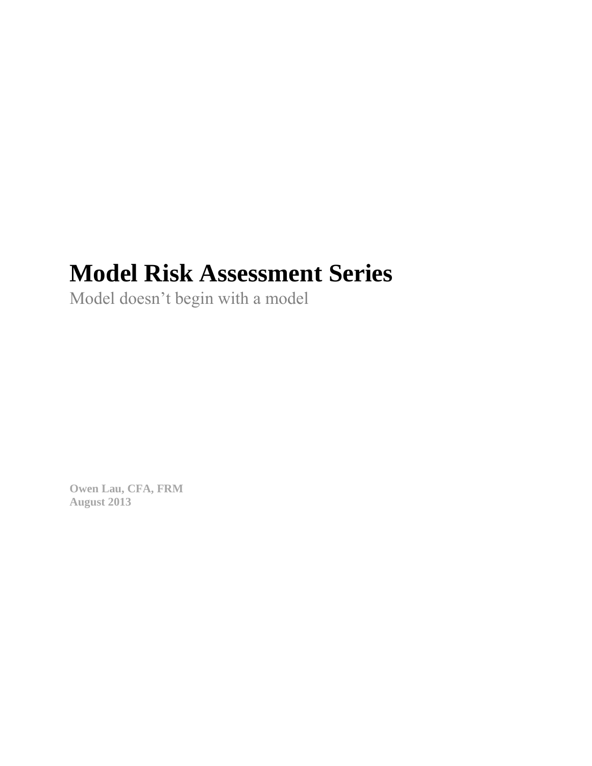# **Model Risk Assessment Series**

Model doesn't begin with a model

**Owen Lau, CFA, FRM August 2013**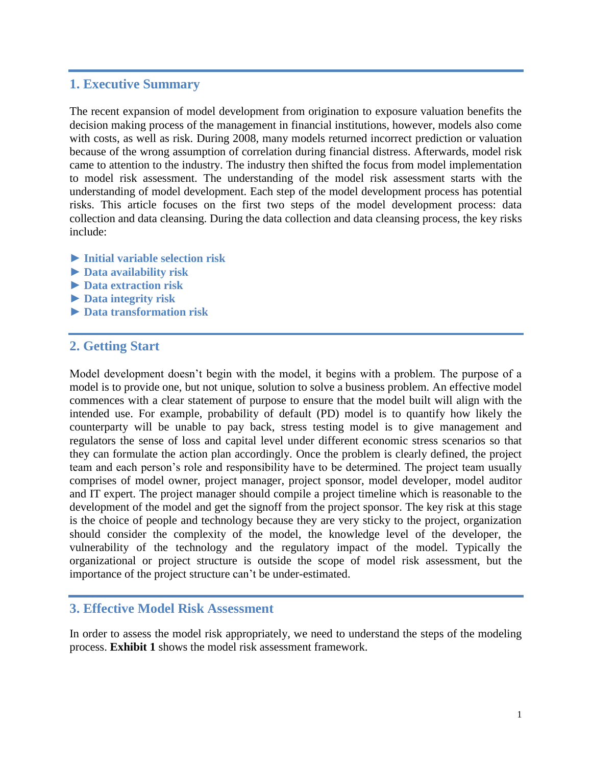# **1. Executive Summary**

The recent expansion of model development from origination to exposure valuation benefits the decision making process of the management in financial institutions, however, models also come with costs, as well as risk. During 2008, many models returned incorrect prediction or valuation because of the wrong assumption of correlation during financial distress. Afterwards, model risk came to attention to the industry. The industry then shifted the focus from model implementation to model risk assessment. The understanding of the model risk assessment starts with the understanding of model development. Each step of the model development process has potential risks. This article focuses on the first two steps of the model development process: data collection and data cleansing. During the data collection and data cleansing process, the key risks include:

- **► Initial variable selection risk**
- **► Data availability risk**
- **► Data extraction risk**
- **► Data integrity risk**
- **► Data transformation risk**

# **2. Getting Start**

Model development doesn't begin with the model, it begins with a problem. The purpose of a model is to provide one, but not unique, solution to solve a business problem. An effective model commences with a clear statement of purpose to ensure that the model built will align with the intended use. For example, probability of default (PD) model is to quantify how likely the counterparty will be unable to pay back, stress testing model is to give management and regulators the sense of loss and capital level under different economic stress scenarios so that they can formulate the action plan accordingly. Once the problem is clearly defined, the project team and each person's role and responsibility have to be determined. The project team usually comprises of model owner, project manager, project sponsor, model developer, model auditor and IT expert. The project manager should compile a project timeline which is reasonable to the development of the model and get the signoff from the project sponsor. The key risk at this stage is the choice of people and technology because they are very sticky to the project, organization should consider the complexity of the model, the knowledge level of the developer, the vulnerability of the technology and the regulatory impact of the model. Typically the organizational or project structure is outside the scope of model risk assessment, but the importance of the project structure can't be under-estimated.

# **3. Effective Model Risk Assessment**

In order to assess the model risk appropriately, we need to understand the steps of the modeling process. **Exhibit 1** shows the model risk assessment framework.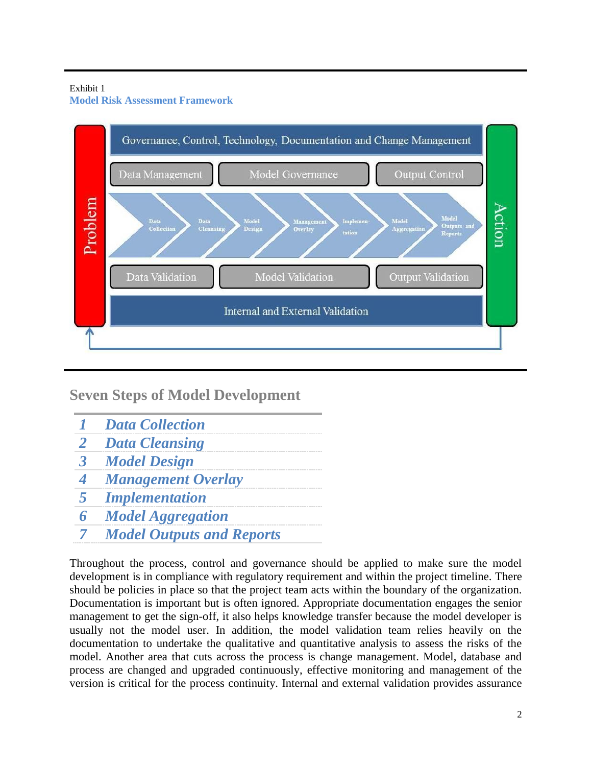#### Exhibit 1 **Model Risk Assessment Framework**



**Seven Steps of Model Development**

- *1 Data Collection*
- *2 Data Cleansing*
- *3 Model Design*
- *4 Management Overlay*
- *5 Implementation*
- *6 Model Aggregation*
- *7 Model Outputs and Reports*

Throughout the process, control and governance should be applied to make sure the model development is in compliance with regulatory requirement and within the project timeline. There should be policies in place so that the project team acts within the boundary of the organization. Documentation is important but is often ignored. Appropriate documentation engages the senior management to get the sign-off, it also helps knowledge transfer because the model developer is usually not the model user. In addition, the model validation team relies heavily on the documentation to undertake the qualitative and quantitative analysis to assess the risks of the model. Another area that cuts across the process is change management. Model, database and process are changed and upgraded continuously, effective monitoring and management of the version is critical for the process continuity. Internal and external validation provides assurance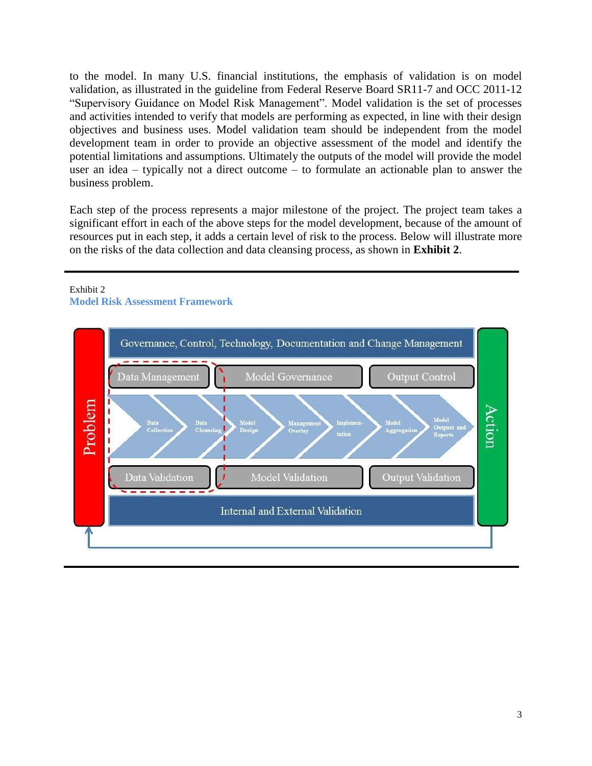to the model. In many U.S. financial institutions, the emphasis of validation is on model validation, as illustrated in the guideline from Federal Reserve Board SR11-7 and OCC 2011-12 "Supervisory Guidance on Model Risk Management". Model validation is the set of processes and activities intended to verify that models are performing as expected, in line with their design objectives and business uses. Model validation team should be independent from the model development team in order to provide an objective assessment of the model and identify the potential limitations and assumptions. Ultimately the outputs of the model will provide the model user an idea – typically not a direct outcome – to formulate an actionable plan to answer the business problem.

Each step of the process represents a major milestone of the project. The project team takes a significant effort in each of the above steps for the model development, because of the amount of resources put in each step, it adds a certain level of risk to the process. Below will illustrate more on the risks of the data collection and data cleansing process, as shown in **Exhibit 2**.



#### Exhibit 2

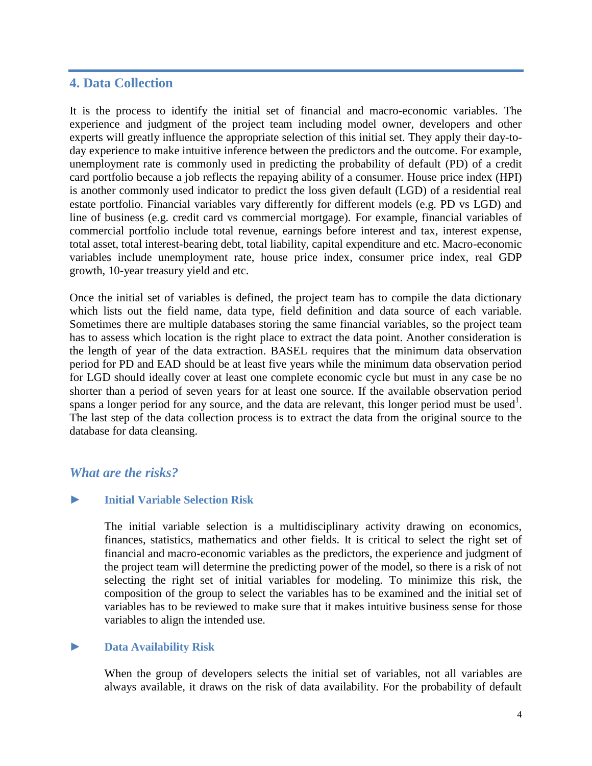# **4. Data Collection**

It is the process to identify the initial set of financial and macro-economic variables. The experience and judgment of the project team including model owner, developers and other experts will greatly influence the appropriate selection of this initial set. They apply their day-today experience to make intuitive inference between the predictors and the outcome. For example, unemployment rate is commonly used in predicting the probability of default (PD) of a credit card portfolio because a job reflects the repaying ability of a consumer. House price index (HPI) is another commonly used indicator to predict the loss given default (LGD) of a residential real estate portfolio. Financial variables vary differently for different models (e.g. PD vs LGD) and line of business (e.g. credit card vs commercial mortgage). For example, financial variables of commercial portfolio include total revenue, earnings before interest and tax, interest expense, total asset, total interest-bearing debt, total liability, capital expenditure and etc. Macro-economic variables include unemployment rate, house price index, consumer price index, real GDP growth, 10-year treasury yield and etc.

Once the initial set of variables is defined, the project team has to compile the data dictionary which lists out the field name, data type, field definition and data source of each variable. Sometimes there are multiple databases storing the same financial variables, so the project team has to assess which location is the right place to extract the data point. Another consideration is the length of year of the data extraction. BASEL requires that the minimum data observation period for PD and EAD should be at least five years while the minimum data observation period for LGD should ideally cover at least one complete economic cycle but must in any case be no shorter than a period of seven years for at least one source. If the available observation period spans a longer period for any source, and the data are relevant, this longer period must be used<sup>1</sup>. The last step of the data collection process is to extract the data from the original source to the database for data cleansing.

# *What are the risks?*

#### **► Initial Variable Selection Risk**

The initial variable selection is a multidisciplinary activity drawing on economics, finances, statistics, mathematics and other fields. It is critical to select the right set of financial and macro-economic variables as the predictors, the experience and judgment of the project team will determine the predicting power of the model, so there is a risk of not selecting the right set of initial variables for modeling. To minimize this risk, the composition of the group to select the variables has to be examined and the initial set of variables has to be reviewed to make sure that it makes intuitive business sense for those variables to align the intended use.

#### **► Data Availability Risk**

When the group of developers selects the initial set of variables, not all variables are always available, it draws on the risk of data availability. For the probability of default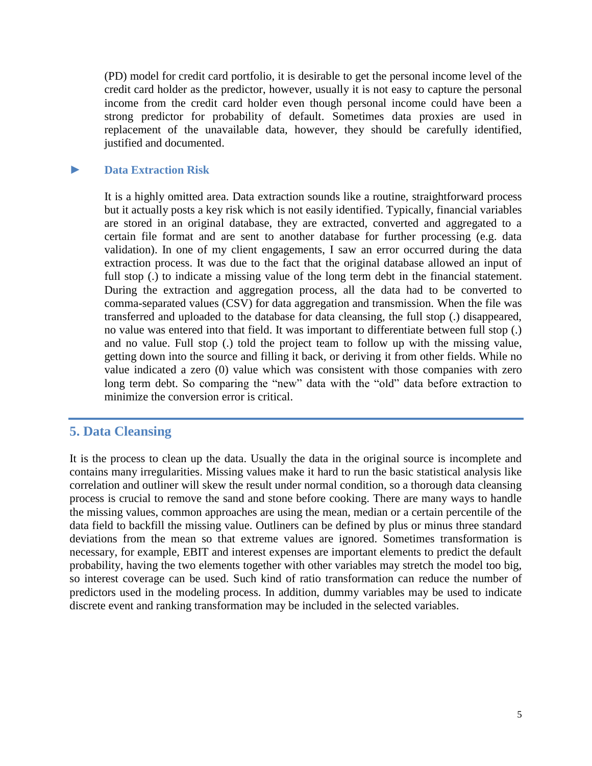(PD) model for credit card portfolio, it is desirable to get the personal income level of the credit card holder as the predictor, however, usually it is not easy to capture the personal income from the credit card holder even though personal income could have been a strong predictor for probability of default. Sometimes data proxies are used in replacement of the unavailable data, however, they should be carefully identified, justified and documented.

## **► Data Extraction Risk**

It is a highly omitted area. Data extraction sounds like a routine, straightforward process but it actually posts a key risk which is not easily identified. Typically, financial variables are stored in an original database, they are extracted, converted and aggregated to a certain file format and are sent to another database for further processing (e.g. data validation). In one of my client engagements, I saw an error occurred during the data extraction process. It was due to the fact that the original database allowed an input of full stop (.) to indicate a missing value of the long term debt in the financial statement. During the extraction and aggregation process, all the data had to be converted to comma-separated values (CSV) for data aggregation and transmission. When the file was transferred and uploaded to the database for data cleansing, the full stop (.) disappeared, no value was entered into that field. It was important to differentiate between full stop (.) and no value. Full stop (.) told the project team to follow up with the missing value, getting down into the source and filling it back, or deriving it from other fields. While no value indicated a zero (0) value which was consistent with those companies with zero long term debt. So comparing the "new" data with the "old" data before extraction to minimize the conversion error is critical.

# **5. Data Cleansing**

It is the process to clean up the data. Usually the data in the original source is incomplete and contains many irregularities. Missing values make it hard to run the basic statistical analysis like correlation and outliner will skew the result under normal condition, so a thorough data cleansing process is crucial to remove the sand and stone before cooking. There are many ways to handle the missing values, common approaches are using the mean, median or a certain percentile of the data field to backfill the missing value. Outliners can be defined by plus or minus three standard deviations from the mean so that extreme values are ignored. Sometimes transformation is necessary, for example, EBIT and interest expenses are important elements to predict the default probability, having the two elements together with other variables may stretch the model too big, so interest coverage can be used. Such kind of ratio transformation can reduce the number of predictors used in the modeling process. In addition, dummy variables may be used to indicate discrete event and ranking transformation may be included in the selected variables.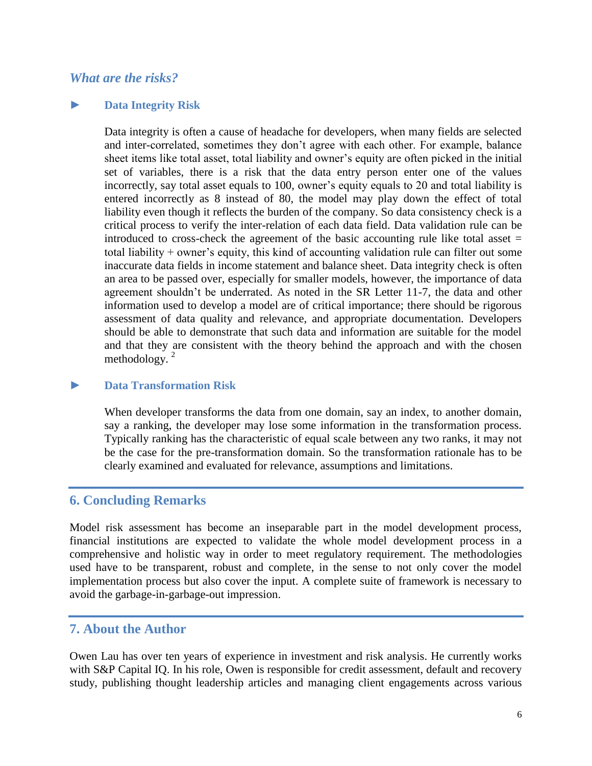# *What are the risks?*

#### **► Data Integrity Risk**

Data integrity is often a cause of headache for developers, when many fields are selected and inter-correlated, sometimes they don't agree with each other. For example, balance sheet items like total asset, total liability and owner's equity are often picked in the initial set of variables, there is a risk that the data entry person enter one of the values incorrectly, say total asset equals to 100, owner's equity equals to 20 and total liability is entered incorrectly as 8 instead of 80, the model may play down the effect of total liability even though it reflects the burden of the company. So data consistency check is a critical process to verify the inter-relation of each data field. Data validation rule can be introduced to cross-check the agreement of the basic accounting rule like total asset  $=$ total liability + owner's equity, this kind of accounting validation rule can filter out some inaccurate data fields in income statement and balance sheet. Data integrity check is often an area to be passed over, especially for smaller models, however, the importance of data agreement shouldn't be underrated. As noted in the SR Letter 11-7, the data and other information used to develop a model are of critical importance; there should be rigorous assessment of data quality and relevance, and appropriate documentation. Developers should be able to demonstrate that such data and information are suitable for the model and that they are consistent with the theory behind the approach and with the chosen methodology. $^{2}$ 

#### **► Data Transformation Risk**

When developer transforms the data from one domain, say an index, to another domain, say a ranking, the developer may lose some information in the transformation process. Typically ranking has the characteristic of equal scale between any two ranks, it may not be the case for the pre-transformation domain. So the transformation rationale has to be clearly examined and evaluated for relevance, assumptions and limitations.

# **6. Concluding Remarks**

Model risk assessment has become an inseparable part in the model development process, financial institutions are expected to validate the whole model development process in a comprehensive and holistic way in order to meet regulatory requirement. The methodologies used have to be transparent, robust and complete, in the sense to not only cover the model implementation process but also cover the input. A complete suite of framework is necessary to avoid the garbage-in-garbage-out impression.

## **7. About the Author**

Owen Lau has over ten years of experience in investment and risk analysis. He currently works with S&P Capital IQ. In his role, Owen is responsible for credit assessment, default and recovery study, publishing thought leadership articles and managing client engagements across various